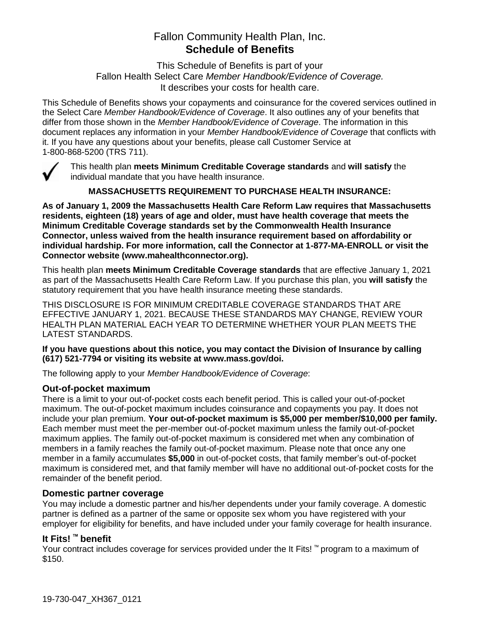# Fallon Community Health Plan, Inc. **Schedule of Benefits**

This Schedule of Benefits is part of your Fallon Health Select Care *Member Handbook/Evidence of Coverage.*  It describes your costs for health care.

This Schedule of Benefits shows your copayments and coinsurance for the covered services outlined in the Select Care *Member Handbook/Evidence of Coverage*. It also outlines any of your benefits that differ from those shown in the *Member Handbook/Evidence of Coverage*. The information in this document replaces any information in your *Member Handbook/Evidence of Coverage* that conflicts with it. If you have any questions about your benefits, please call Customer Service at 1-800-868-5200 (TRS 711).



This health plan **meets Minimum Creditable Coverage standards** and **will satisfy** the individual mandate that you have health insurance.

**MASSACHUSETTS REQUIREMENT TO PURCHASE HEALTH INSURANCE:**

**As of January 1, 2009 the Massachusetts Health Care Reform Law requires that Massachusetts residents, eighteen (18) years of age and older, must have health coverage that meets the Minimum Creditable Coverage standards set by the Commonwealth Health Insurance Connector, unless waived from the health insurance requirement based on affordability or individual hardship. For more information, call the Connector at 1-877-MA-ENROLL or visit the Connector website (www.mahealthconnector.org).** 

This health plan **meets Minimum Creditable Coverage standards** that are effective January 1, 2021 as part of the Massachusetts Health Care Reform Law. If you purchase this plan, you **will satisfy** the statutory requirement that you have health insurance meeting these standards.

THIS DISCLOSURE IS FOR MINIMUM CREDITABLE COVERAGE STANDARDS THAT ARE EFFECTIVE JANUARY 1, 2021. BECAUSE THESE STANDARDS MAY CHANGE, REVIEW YOUR HEALTH PLAN MATERIAL EACH YEAR TO DETERMINE WHETHER YOUR PLAN MEETS THE LATEST STANDARDS.

#### **If you have questions about this notice, you may contact the Division of Insurance by calling (617) 521-7794 or visiting its website at www.mass.gov/doi.**

The following apply to your *Member Handbook/Evidence of Coverage*:

#### **Out-of-pocket maximum**

There is a limit to your out-of-pocket costs each benefit period. This is called your out-of-pocket maximum. The out-of-pocket maximum includes coinsurance and copayments you pay. It does not include your plan premium. **Your out-of-pocket maximum is \$5,000 per member/\$10,000 per family.** Each member must meet the per-member out-of-pocket maximum unless the family out-of-pocket maximum applies. The family out-of-pocket maximum is considered met when any combination of members in a family reaches the family out-of-pocket maximum. Please note that once any one member in a family accumulates **\$5,000** in out-of-pocket costs, that family member's out-of-pocket maximum is considered met, and that family member will have no additional out-of-pocket costs for the remainder of the benefit period.

#### **Domestic partner coverage**

You may include a domestic partner and his/her dependents under your family coverage. A domestic partner is defined as a partner of the same or opposite sex whom you have registered with your employer for eligibility for benefits, and have included under your family coverage for health insurance.

# **It Fits! ™ benefit**

Your contract includes coverage for services provided under the It Fits! ™ program to a maximum of \$150.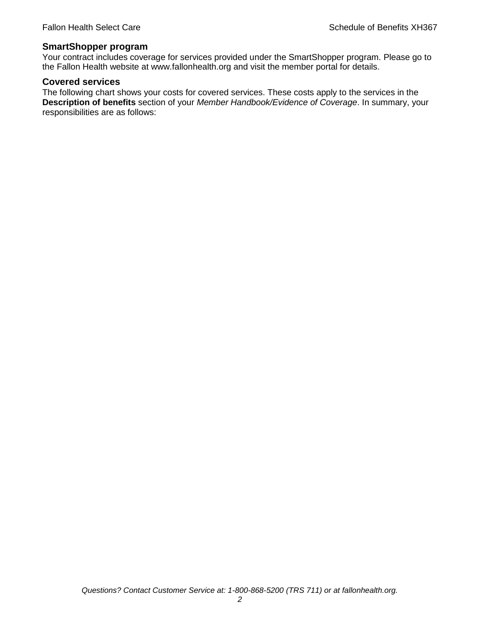#### **SmartShopper program**

Your contract includes coverage for services provided under the SmartShopper program. Please go to the Fallon Health website at www.fallonhealth.org and visit the member portal for details.

#### **Covered services**

The following chart shows your costs for covered services. These costs apply to the services in the **Description of benefits** section of your *Member Handbook/Evidence of Coverage*. In summary, your responsibilities are as follows: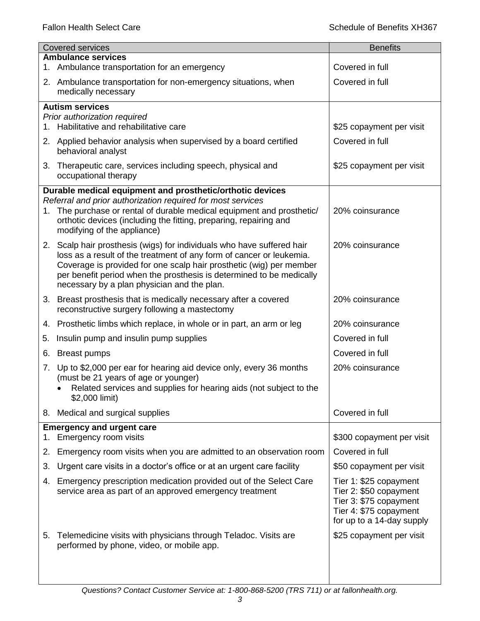| <b>Covered services</b> |                                                                                                                                                                                                                                                                                                                                              | <b>Benefits</b>                                                                                                                   |
|-------------------------|----------------------------------------------------------------------------------------------------------------------------------------------------------------------------------------------------------------------------------------------------------------------------------------------------------------------------------------------|-----------------------------------------------------------------------------------------------------------------------------------|
|                         | <b>Ambulance services</b><br>1. Ambulance transportation for an emergency                                                                                                                                                                                                                                                                    | Covered in full                                                                                                                   |
|                         | 2. Ambulance transportation for non-emergency situations, when                                                                                                                                                                                                                                                                               | Covered in full                                                                                                                   |
|                         | medically necessary                                                                                                                                                                                                                                                                                                                          |                                                                                                                                   |
|                         | <b>Autism services</b>                                                                                                                                                                                                                                                                                                                       |                                                                                                                                   |
| 1.                      | Prior authorization required<br>Habilitative and rehabilitative care                                                                                                                                                                                                                                                                         | \$25 copayment per visit                                                                                                          |
|                         | 2. Applied behavior analysis when supervised by a board certified<br>behavioral analyst                                                                                                                                                                                                                                                      | Covered in full                                                                                                                   |
|                         | 3. Therapeutic care, services including speech, physical and<br>occupational therapy                                                                                                                                                                                                                                                         | \$25 copayment per visit                                                                                                          |
|                         | Durable medical equipment and prosthetic/orthotic devices                                                                                                                                                                                                                                                                                    |                                                                                                                                   |
|                         | Referral and prior authorization required for most services<br>1. The purchase or rental of durable medical equipment and prosthetic/<br>orthotic devices (including the fitting, preparing, repairing and<br>modifying of the appliance)                                                                                                    | 20% coinsurance                                                                                                                   |
|                         | 2. Scalp hair prosthesis (wigs) for individuals who have suffered hair<br>loss as a result of the treatment of any form of cancer or leukemia.<br>Coverage is provided for one scalp hair prosthetic (wig) per member<br>per benefit period when the prosthesis is determined to be medically<br>necessary by a plan physician and the plan. | 20% coinsurance                                                                                                                   |
|                         | 3. Breast prosthesis that is medically necessary after a covered<br>reconstructive surgery following a mastectomy                                                                                                                                                                                                                            | 20% coinsurance                                                                                                                   |
|                         | 4. Prosthetic limbs which replace, in whole or in part, an arm or leg                                                                                                                                                                                                                                                                        | 20% coinsurance                                                                                                                   |
| 5.                      | Insulin pump and insulin pump supplies                                                                                                                                                                                                                                                                                                       | Covered in full                                                                                                                   |
| 6.                      | <b>Breast pumps</b>                                                                                                                                                                                                                                                                                                                          | Covered in full                                                                                                                   |
| 7.                      | Up to \$2,000 per ear for hearing aid device only, every 36 months<br>(must be 21 years of age or younger)<br>Related services and supplies for hearing aids (not subject to the<br>\$2,000 limit)                                                                                                                                           | 20% coinsurance                                                                                                                   |
| 8.                      | Medical and surgical supplies                                                                                                                                                                                                                                                                                                                | Covered in full                                                                                                                   |
| 1.                      | <b>Emergency and urgent care</b><br>Emergency room visits                                                                                                                                                                                                                                                                                    | \$300 copayment per visit                                                                                                         |
| 2.                      | Emergency room visits when you are admitted to an observation room                                                                                                                                                                                                                                                                           | Covered in full                                                                                                                   |
| 3.                      | Urgent care visits in a doctor's office or at an urgent care facility                                                                                                                                                                                                                                                                        | \$50 copayment per visit                                                                                                          |
| 4.                      | Emergency prescription medication provided out of the Select Care<br>service area as part of an approved emergency treatment                                                                                                                                                                                                                 | Tier 1: \$25 copayment<br>Tier 2: \$50 copayment<br>Tier 3: \$75 copayment<br>Tier 4: \$75 copayment<br>for up to a 14-day supply |
| 5.                      | Telemedicine visits with physicians through Teladoc. Visits are<br>performed by phone, video, or mobile app.                                                                                                                                                                                                                                 | \$25 copayment per visit                                                                                                          |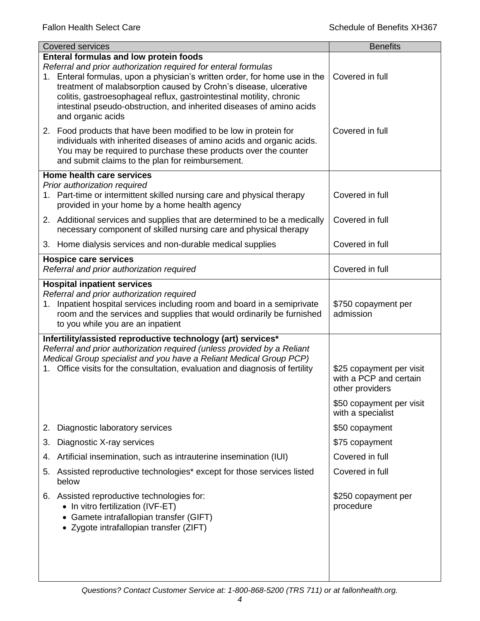|    | <b>Covered services</b>                                                                                                                                                                                                                                                                                                                                                                                                                | <b>Benefits</b>                                                       |
|----|----------------------------------------------------------------------------------------------------------------------------------------------------------------------------------------------------------------------------------------------------------------------------------------------------------------------------------------------------------------------------------------------------------------------------------------|-----------------------------------------------------------------------|
|    | <b>Enteral formulas and low protein foods</b><br>Referral and prior authorization required for enteral formulas<br>1. Enteral formulas, upon a physician's written order, for home use in the<br>treatment of malabsorption caused by Crohn's disease, ulcerative<br>colitis, gastroesophageal reflux, gastrointestinal motility, chronic<br>intestinal pseudo-obstruction, and inherited diseases of amino acids<br>and organic acids | Covered in full                                                       |
|    | 2. Food products that have been modified to be low in protein for<br>individuals with inherited diseases of amino acids and organic acids.<br>You may be required to purchase these products over the counter<br>and submit claims to the plan for reimbursement.                                                                                                                                                                      | Covered in full                                                       |
|    | Home health care services                                                                                                                                                                                                                                                                                                                                                                                                              |                                                                       |
|    | Prior authorization required<br>1. Part-time or intermittent skilled nursing care and physical therapy<br>provided in your home by a home health agency                                                                                                                                                                                                                                                                                | Covered in full                                                       |
|    | 2. Additional services and supplies that are determined to be a medically<br>necessary component of skilled nursing care and physical therapy                                                                                                                                                                                                                                                                                          | Covered in full                                                       |
|    | 3. Home dialysis services and non-durable medical supplies                                                                                                                                                                                                                                                                                                                                                                             | Covered in full                                                       |
|    | <b>Hospice care services</b><br>Referral and prior authorization required                                                                                                                                                                                                                                                                                                                                                              | Covered in full                                                       |
|    | <b>Hospital inpatient services</b>                                                                                                                                                                                                                                                                                                                                                                                                     |                                                                       |
|    | Referral and prior authorization required<br>1. Inpatient hospital services including room and board in a semiprivate<br>room and the services and supplies that would ordinarily be furnished<br>to you while you are an inpatient                                                                                                                                                                                                    | \$750 copayment per<br>admission                                      |
|    | Infertility/assisted reproductive technology (art) services*                                                                                                                                                                                                                                                                                                                                                                           |                                                                       |
|    | Referral and prior authorization required (unless provided by a Reliant                                                                                                                                                                                                                                                                                                                                                                |                                                                       |
|    | Medical Group specialist and you have a Reliant Medical Group PCP)<br>Office visits for the consultation, evaluation and diagnosis of fertility                                                                                                                                                                                                                                                                                        | \$25 copayment per visit<br>with a PCP and certain<br>other providers |
|    |                                                                                                                                                                                                                                                                                                                                                                                                                                        | \$50 copayment per visit<br>with a specialist                         |
| 2. | Diagnostic laboratory services                                                                                                                                                                                                                                                                                                                                                                                                         | \$50 copayment                                                        |
| 3. | Diagnostic X-ray services                                                                                                                                                                                                                                                                                                                                                                                                              | \$75 copayment                                                        |
| 4. | Artificial insemination, such as intrauterine insemination (IUI)                                                                                                                                                                                                                                                                                                                                                                       | Covered in full                                                       |
| 5. | Assisted reproductive technologies* except for those services listed<br>below                                                                                                                                                                                                                                                                                                                                                          | Covered in full                                                       |
|    | 6. Assisted reproductive technologies for:<br>• In vitro fertilization (IVF-ET)<br>Gamete intrafallopian transfer (GIFT)<br>• Zygote intrafallopian transfer (ZIFT)                                                                                                                                                                                                                                                                    | \$250 copayment per<br>procedure                                      |
|    |                                                                                                                                                                                                                                                                                                                                                                                                                                        |                                                                       |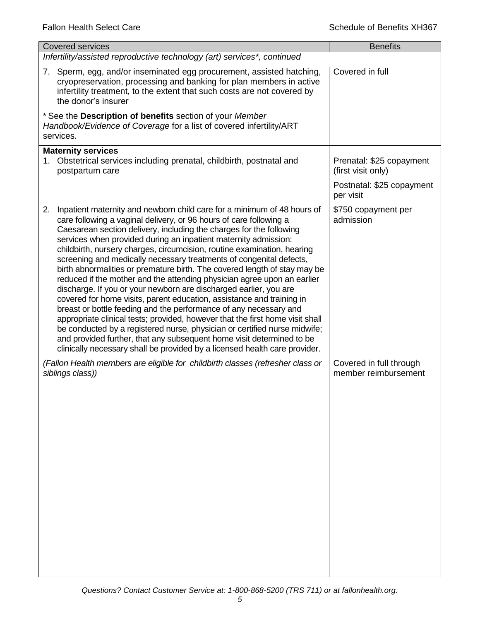| <b>Covered services</b>                                                                                                                                                                                                                                                                                                                                                                                                                                                                                                                                                                                                                                                                                                                                                                                                                                                                                                                                                                                                                                                                                                                         | <b>Benefits</b>                                 |
|-------------------------------------------------------------------------------------------------------------------------------------------------------------------------------------------------------------------------------------------------------------------------------------------------------------------------------------------------------------------------------------------------------------------------------------------------------------------------------------------------------------------------------------------------------------------------------------------------------------------------------------------------------------------------------------------------------------------------------------------------------------------------------------------------------------------------------------------------------------------------------------------------------------------------------------------------------------------------------------------------------------------------------------------------------------------------------------------------------------------------------------------------|-------------------------------------------------|
| Infertility/assisted reproductive technology (art) services*, continued                                                                                                                                                                                                                                                                                                                                                                                                                                                                                                                                                                                                                                                                                                                                                                                                                                                                                                                                                                                                                                                                         |                                                 |
| 7. Sperm, egg, and/or inseminated egg procurement, assisted hatching,<br>cryopreservation, processing and banking for plan members in active<br>infertility treatment, to the extent that such costs are not covered by<br>the donor's insurer                                                                                                                                                                                                                                                                                                                                                                                                                                                                                                                                                                                                                                                                                                                                                                                                                                                                                                  | Covered in full                                 |
| * See the Description of benefits section of your Member<br>Handbook/Evidence of Coverage for a list of covered infertility/ART<br>services.                                                                                                                                                                                                                                                                                                                                                                                                                                                                                                                                                                                                                                                                                                                                                                                                                                                                                                                                                                                                    |                                                 |
| <b>Maternity services</b><br>1. Obstetrical services including prenatal, childbirth, postnatal and<br>postpartum care                                                                                                                                                                                                                                                                                                                                                                                                                                                                                                                                                                                                                                                                                                                                                                                                                                                                                                                                                                                                                           | Prenatal: \$25 copayment<br>(first visit only)  |
|                                                                                                                                                                                                                                                                                                                                                                                                                                                                                                                                                                                                                                                                                                                                                                                                                                                                                                                                                                                                                                                                                                                                                 | Postnatal: \$25 copayment<br>per visit          |
| Inpatient maternity and newborn child care for a minimum of 48 hours of<br>2.<br>care following a vaginal delivery, or 96 hours of care following a<br>Caesarean section delivery, including the charges for the following<br>services when provided during an inpatient maternity admission:<br>childbirth, nursery charges, circumcision, routine examination, hearing<br>screening and medically necessary treatments of congenital defects,<br>birth abnormalities or premature birth. The covered length of stay may be<br>reduced if the mother and the attending physician agree upon an earlier<br>discharge. If you or your newborn are discharged earlier, you are<br>covered for home visits, parent education, assistance and training in<br>breast or bottle feeding and the performance of any necessary and<br>appropriate clinical tests; provided, however that the first home visit shall<br>be conducted by a registered nurse, physician or certified nurse midwife;<br>and provided further, that any subsequent home visit determined to be<br>clinically necessary shall be provided by a licensed health care provider. | \$750 copayment per<br>admission                |
| (Fallon Health members are eligible for childbirth classes (refresher class or<br>siblings class))                                                                                                                                                                                                                                                                                                                                                                                                                                                                                                                                                                                                                                                                                                                                                                                                                                                                                                                                                                                                                                              | Covered in full through<br>member reimbursement |
|                                                                                                                                                                                                                                                                                                                                                                                                                                                                                                                                                                                                                                                                                                                                                                                                                                                                                                                                                                                                                                                                                                                                                 |                                                 |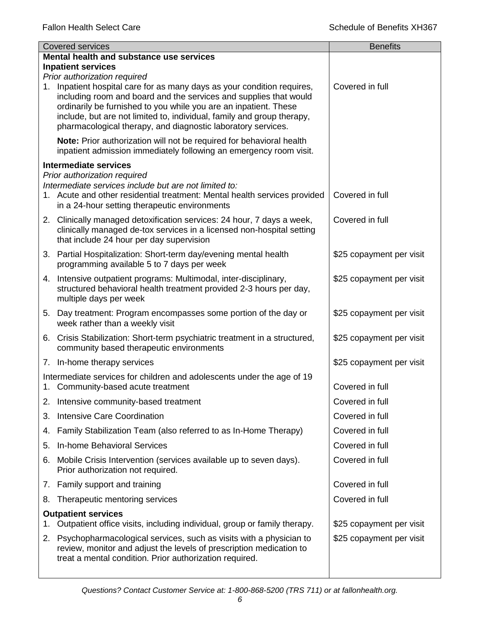|    | <b>Covered services</b>                                                                                                                                                                                                                                                                                                                                                                 | <b>Benefits</b>          |
|----|-----------------------------------------------------------------------------------------------------------------------------------------------------------------------------------------------------------------------------------------------------------------------------------------------------------------------------------------------------------------------------------------|--------------------------|
|    | Mental health and substance use services                                                                                                                                                                                                                                                                                                                                                |                          |
|    | <b>Inpatient services</b>                                                                                                                                                                                                                                                                                                                                                               |                          |
| 1. | Prior authorization required<br>Inpatient hospital care for as many days as your condition requires,<br>including room and board and the services and supplies that would<br>ordinarily be furnished to you while you are an inpatient. These<br>include, but are not limited to, individual, family and group therapy,<br>pharmacological therapy, and diagnostic laboratory services. | Covered in full          |
|    | Note: Prior authorization will not be required for behavioral health<br>inpatient admission immediately following an emergency room visit.                                                                                                                                                                                                                                              |                          |
|    | <b>Intermediate services</b>                                                                                                                                                                                                                                                                                                                                                            |                          |
|    | Prior authorization required<br>Intermediate services include but are not limited to:<br>1. Acute and other residential treatment: Mental health services provided<br>in a 24-hour setting therapeutic environments                                                                                                                                                                     | Covered in full          |
|    | 2. Clinically managed detoxification services: 24 hour, 7 days a week,<br>clinically managed de-tox services in a licensed non-hospital setting<br>that include 24 hour per day supervision                                                                                                                                                                                             | Covered in full          |
|    | 3. Partial Hospitalization: Short-term day/evening mental health<br>programming available 5 to 7 days per week                                                                                                                                                                                                                                                                          | \$25 copayment per visit |
|    | 4. Intensive outpatient programs: Multimodal, inter-disciplinary,<br>structured behavioral health treatment provided 2-3 hours per day,<br>multiple days per week                                                                                                                                                                                                                       | \$25 copayment per visit |
|    | 5. Day treatment: Program encompasses some portion of the day or<br>week rather than a weekly visit                                                                                                                                                                                                                                                                                     | \$25 copayment per visit |
|    | 6. Crisis Stabilization: Short-term psychiatric treatment in a structured,<br>community based therapeutic environments                                                                                                                                                                                                                                                                  | \$25 copayment per visit |
|    | 7. In-home therapy services                                                                                                                                                                                                                                                                                                                                                             | \$25 copayment per visit |
|    | Intermediate services for children and adolescents under the age of 19<br>1. Community-based acute treatment                                                                                                                                                                                                                                                                            | Covered in full          |
|    | 2. Intensive community-based treatment                                                                                                                                                                                                                                                                                                                                                  | Covered in full          |
| 3. | <b>Intensive Care Coordination</b>                                                                                                                                                                                                                                                                                                                                                      | Covered in full          |
| 4. | Family Stabilization Team (also referred to as In-Home Therapy)                                                                                                                                                                                                                                                                                                                         | Covered in full          |
| 5. | In-home Behavioral Services                                                                                                                                                                                                                                                                                                                                                             | Covered in full          |
| 6. | Mobile Crisis Intervention (services available up to seven days).<br>Prior authorization not required.                                                                                                                                                                                                                                                                                  | Covered in full          |
|    | 7. Family support and training                                                                                                                                                                                                                                                                                                                                                          | Covered in full          |
| 8. | Therapeutic mentoring services                                                                                                                                                                                                                                                                                                                                                          | Covered in full          |
|    | <b>Outpatient services</b>                                                                                                                                                                                                                                                                                                                                                              |                          |
| 1. | Outpatient office visits, including individual, group or family therapy.                                                                                                                                                                                                                                                                                                                | \$25 copayment per visit |
| 2. | Psychopharmacological services, such as visits with a physician to<br>review, monitor and adjust the levels of prescription medication to<br>treat a mental condition. Prior authorization required.                                                                                                                                                                                    | \$25 copayment per visit |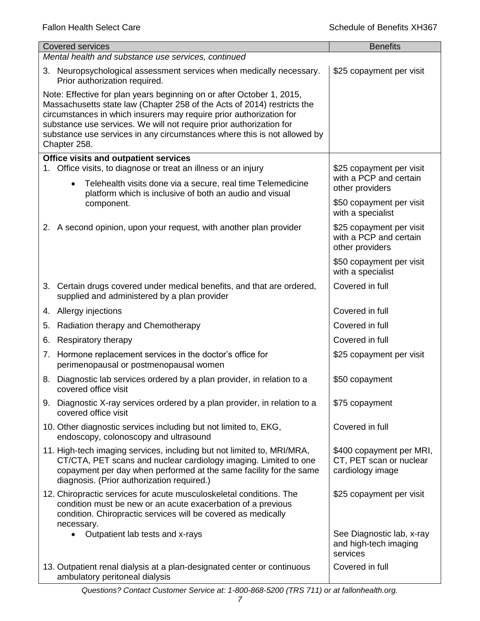| <b>Covered services</b>                                                                                                                                                                                                                                                                                                                                                                    |                                                                                                                                                                                                                                                                | <b>Benefits</b>                                                         |  |  |
|--------------------------------------------------------------------------------------------------------------------------------------------------------------------------------------------------------------------------------------------------------------------------------------------------------------------------------------------------------------------------------------------|----------------------------------------------------------------------------------------------------------------------------------------------------------------------------------------------------------------------------------------------------------------|-------------------------------------------------------------------------|--|--|
|                                                                                                                                                                                                                                                                                                                                                                                            | Mental health and substance use services, continued                                                                                                                                                                                                            |                                                                         |  |  |
|                                                                                                                                                                                                                                                                                                                                                                                            | 3. Neuropsychological assessment services when medically necessary.<br>Prior authorization required.                                                                                                                                                           | \$25 copayment per visit                                                |  |  |
| Note: Effective for plan years beginning on or after October 1, 2015,<br>Massachusetts state law (Chapter 258 of the Acts of 2014) restricts the<br>circumstances in which insurers may require prior authorization for<br>substance use services. We will not require prior authorization for<br>substance use services in any circumstances where this is not allowed by<br>Chapter 258. |                                                                                                                                                                                                                                                                |                                                                         |  |  |
|                                                                                                                                                                                                                                                                                                                                                                                            | <b>Office visits and outpatient services</b>                                                                                                                                                                                                                   |                                                                         |  |  |
|                                                                                                                                                                                                                                                                                                                                                                                            | 1. Office visits, to diagnose or treat an illness or an injury<br>Telehealth visits done via a secure, real time Telemedicine<br>$\bullet$<br>platform which is inclusive of both an audio and visual                                                          | \$25 copayment per visit<br>with a PCP and certain<br>other providers   |  |  |
|                                                                                                                                                                                                                                                                                                                                                                                            | component.                                                                                                                                                                                                                                                     | \$50 copayment per visit<br>with a specialist                           |  |  |
|                                                                                                                                                                                                                                                                                                                                                                                            | 2. A second opinion, upon your request, with another plan provider                                                                                                                                                                                             | \$25 copayment per visit<br>with a PCP and certain<br>other providers   |  |  |
|                                                                                                                                                                                                                                                                                                                                                                                            |                                                                                                                                                                                                                                                                | \$50 copayment per visit<br>with a specialist                           |  |  |
|                                                                                                                                                                                                                                                                                                                                                                                            | 3. Certain drugs covered under medical benefits, and that are ordered,<br>supplied and administered by a plan provider                                                                                                                                         | Covered in full                                                         |  |  |
|                                                                                                                                                                                                                                                                                                                                                                                            | 4. Allergy injections                                                                                                                                                                                                                                          | Covered in full                                                         |  |  |
| 5.                                                                                                                                                                                                                                                                                                                                                                                         | Radiation therapy and Chemotherapy                                                                                                                                                                                                                             | Covered in full                                                         |  |  |
| 6.                                                                                                                                                                                                                                                                                                                                                                                         | Respiratory therapy                                                                                                                                                                                                                                            | Covered in full                                                         |  |  |
|                                                                                                                                                                                                                                                                                                                                                                                            | 7. Hormone replacement services in the doctor's office for<br>perimenopausal or postmenopausal women                                                                                                                                                           | \$25 copayment per visit                                                |  |  |
| 8.                                                                                                                                                                                                                                                                                                                                                                                         | Diagnostic lab services ordered by a plan provider, in relation to a<br>covered office visit                                                                                                                                                                   | \$50 copayment                                                          |  |  |
|                                                                                                                                                                                                                                                                                                                                                                                            | 9. Diagnostic X-ray services ordered by a plan provider, in relation to a<br>covered office visit                                                                                                                                                              | \$75 copayment                                                          |  |  |
|                                                                                                                                                                                                                                                                                                                                                                                            | 10. Other diagnostic services including but not limited to, EKG,<br>endoscopy, colonoscopy and ultrasound                                                                                                                                                      | Covered in full                                                         |  |  |
|                                                                                                                                                                                                                                                                                                                                                                                            | 11. High-tech imaging services, including but not limited to, MRI/MRA,<br>CT/CTA, PET scans and nuclear cardiology imaging. Limited to one<br>copayment per day when performed at the same facility for the same<br>diagnosis. (Prior authorization required.) | \$400 copayment per MRI,<br>CT, PET scan or nuclear<br>cardiology image |  |  |
|                                                                                                                                                                                                                                                                                                                                                                                            | 12. Chiropractic services for acute musculoskeletal conditions. The<br>condition must be new or an acute exacerbation of a previous<br>condition. Chiropractic services will be covered as medically<br>necessary.                                             | \$25 copayment per visit                                                |  |  |
|                                                                                                                                                                                                                                                                                                                                                                                            | Outpatient lab tests and x-rays                                                                                                                                                                                                                                | See Diagnostic lab, x-ray<br>and high-tech imaging<br>services          |  |  |
|                                                                                                                                                                                                                                                                                                                                                                                            | 13. Outpatient renal dialysis at a plan-designated center or continuous<br>ambulatory peritoneal dialysis                                                                                                                                                      | Covered in full                                                         |  |  |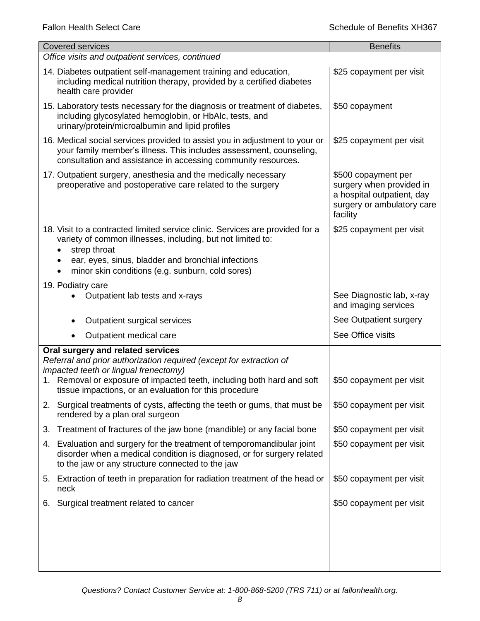| <b>Covered services</b>                                                                                                                                                                                                                                                | <b>Benefits</b>                                                                                                         |
|------------------------------------------------------------------------------------------------------------------------------------------------------------------------------------------------------------------------------------------------------------------------|-------------------------------------------------------------------------------------------------------------------------|
| Office visits and outpatient services, continued                                                                                                                                                                                                                       |                                                                                                                         |
| 14. Diabetes outpatient self-management training and education,<br>including medical nutrition therapy, provided by a certified diabetes<br>health care provider                                                                                                       | \$25 copayment per visit                                                                                                |
| 15. Laboratory tests necessary for the diagnosis or treatment of diabetes,<br>including glycosylated hemoglobin, or HbAlc, tests, and<br>urinary/protein/microalbumin and lipid profiles                                                                               | \$50 copayment                                                                                                          |
| 16. Medical social services provided to assist you in adjustment to your or<br>your family member's illness. This includes assessment, counseling,<br>consultation and assistance in accessing community resources.                                                    | \$25 copayment per visit                                                                                                |
| 17. Outpatient surgery, anesthesia and the medically necessary<br>preoperative and postoperative care related to the surgery                                                                                                                                           | \$500 copayment per<br>surgery when provided in<br>a hospital outpatient, day<br>surgery or ambulatory care<br>facility |
| 18. Visit to a contracted limited service clinic. Services are provided for a<br>variety of common illnesses, including, but not limited to:<br>strep throat<br>ear, eyes, sinus, bladder and bronchial infections<br>minor skin conditions (e.g. sunburn, cold sores) | \$25 copayment per visit                                                                                                |
| 19. Podiatry care                                                                                                                                                                                                                                                      |                                                                                                                         |
| Outpatient lab tests and x-rays                                                                                                                                                                                                                                        | See Diagnostic lab, x-ray<br>and imaging services                                                                       |
| Outpatient surgical services                                                                                                                                                                                                                                           | See Outpatient surgery                                                                                                  |
| Outpatient medical care<br>$\bullet$                                                                                                                                                                                                                                   | See Office visits                                                                                                       |
| Oral surgery and related services<br>Referral and prior authorization required (except for extraction of<br>impacted teeth or lingual frenectomy)<br>1. Removal or exposure of impacted teeth, including both hard and soft                                            | \$50 copayment per visit                                                                                                |
| tissue impactions, or an evaluation for this procedure                                                                                                                                                                                                                 |                                                                                                                         |
| 2. Surgical treatments of cysts, affecting the teeth or gums, that must be<br>rendered by a plan oral surgeon                                                                                                                                                          | \$50 copayment per visit                                                                                                |
| Treatment of fractures of the jaw bone (mandible) or any facial bone<br>3.                                                                                                                                                                                             | \$50 copayment per visit                                                                                                |
| 4. Evaluation and surgery for the treatment of temporomandibular joint<br>disorder when a medical condition is diagnosed, or for surgery related<br>to the jaw or any structure connected to the jaw                                                                   | \$50 copayment per visit                                                                                                |
| 5. Extraction of teeth in preparation for radiation treatment of the head or<br>neck                                                                                                                                                                                   | \$50 copayment per visit                                                                                                |
| Surgical treatment related to cancer<br>6.                                                                                                                                                                                                                             | \$50 copayment per visit                                                                                                |
|                                                                                                                                                                                                                                                                        |                                                                                                                         |
|                                                                                                                                                                                                                                                                        |                                                                                                                         |
|                                                                                                                                                                                                                                                                        |                                                                                                                         |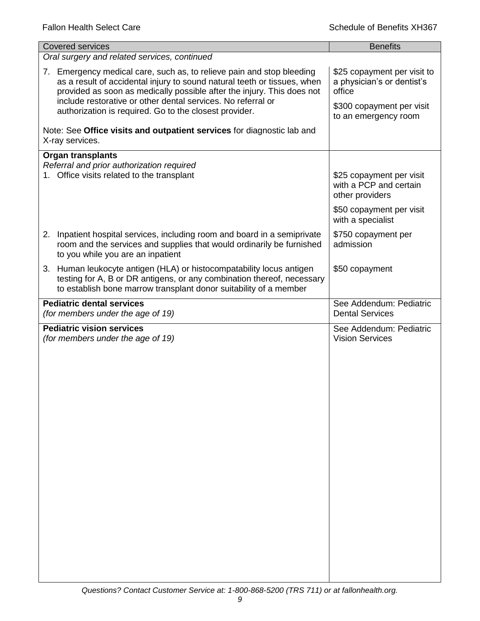| <b>Covered services</b>                                                                                                                                                                                                                                                                                                                               | <b>Benefits</b>                                                                                                          |
|-------------------------------------------------------------------------------------------------------------------------------------------------------------------------------------------------------------------------------------------------------------------------------------------------------------------------------------------------------|--------------------------------------------------------------------------------------------------------------------------|
| Oral surgery and related services, continued                                                                                                                                                                                                                                                                                                          |                                                                                                                          |
| 7. Emergency medical care, such as, to relieve pain and stop bleeding<br>as a result of accidental injury to sound natural teeth or tissues, when<br>provided as soon as medically possible after the injury. This does not<br>include restorative or other dental services. No referral or<br>authorization is required. Go to the closest provider. | \$25 copayment per visit to<br>a physician's or dentist's<br>office<br>\$300 copayment per visit<br>to an emergency room |
| Note: See Office visits and outpatient services for diagnostic lab and<br>X-ray services.                                                                                                                                                                                                                                                             |                                                                                                                          |
| <b>Organ transplants</b><br>Referral and prior authorization required<br>1. Office visits related to the transplant                                                                                                                                                                                                                                   | \$25 copayment per visit<br>with a PCP and certain<br>other providers                                                    |
|                                                                                                                                                                                                                                                                                                                                                       | \$50 copayment per visit<br>with a specialist                                                                            |
| 2. Inpatient hospital services, including room and board in a semiprivate<br>room and the services and supplies that would ordinarily be furnished<br>to you while you are an inpatient                                                                                                                                                               | \$750 copayment per<br>admission                                                                                         |
| 3. Human leukocyte antigen (HLA) or histocompatability locus antigen<br>testing for A, B or DR antigens, or any combination thereof, necessary<br>to establish bone marrow transplant donor suitability of a member                                                                                                                                   | \$50 copayment                                                                                                           |
| <b>Pediatric dental services</b><br>(for members under the age of 19)                                                                                                                                                                                                                                                                                 | See Addendum: Pediatric<br><b>Dental Services</b>                                                                        |
| <b>Pediatric vision services</b><br>(for members under the age of 19)                                                                                                                                                                                                                                                                                 | See Addendum: Pediatric<br><b>Vision Services</b>                                                                        |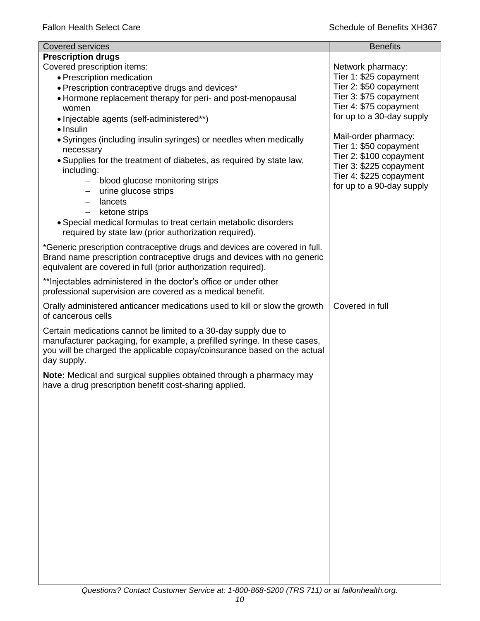| <b>Covered services</b>                                                                                                                                                                                                                                                                                                                                                                                                                                                                                                                                                                                  | <b>Benefits</b>                                                                                                                                                                                                                                                                                                        |
|----------------------------------------------------------------------------------------------------------------------------------------------------------------------------------------------------------------------------------------------------------------------------------------------------------------------------------------------------------------------------------------------------------------------------------------------------------------------------------------------------------------------------------------------------------------------------------------------------------|------------------------------------------------------------------------------------------------------------------------------------------------------------------------------------------------------------------------------------------------------------------------------------------------------------------------|
| <b>Prescription drugs</b><br>Covered prescription items:<br>• Prescription medication<br>• Prescription contraceptive drugs and devices*<br>• Hormone replacement therapy for peri- and post-menopausal<br>women<br>• Injectable agents (self-administered**)<br>$\bullet$ Insulin<br>• Syringes (including insulin syringes) or needles when medically<br>necessary<br>. Supplies for the treatment of diabetes, as required by state law,<br>including:<br>blood glucose monitoring strips<br>$-$<br>urine glucose strips<br>lancets<br>$\overline{\phantom{0}}$<br>ketone strips<br>$\qquad \qquad -$ | Network pharmacy:<br>Tier 1: \$25 copayment<br>Tier 2: \$50 copayment<br>Tier 3: \$75 copayment<br>Tier 4: \$75 copayment<br>for up to a 30-day supply<br>Mail-order pharmacy:<br>Tier 1: \$50 copayment<br>Tier 2: \$100 copayment<br>Tier 3: \$225 copayment<br>Tier 4: \$225 copayment<br>for up to a 90-day supply |
| • Special medical formulas to treat certain metabolic disorders<br>required by state law (prior authorization required).                                                                                                                                                                                                                                                                                                                                                                                                                                                                                 |                                                                                                                                                                                                                                                                                                                        |
| *Generic prescription contraceptive drugs and devices are covered in full.<br>Brand name prescription contraceptive drugs and devices with no generic<br>equivalent are covered in full (prior authorization required).                                                                                                                                                                                                                                                                                                                                                                                  |                                                                                                                                                                                                                                                                                                                        |
| ** Injectables administered in the doctor's office or under other<br>professional supervision are covered as a medical benefit.                                                                                                                                                                                                                                                                                                                                                                                                                                                                          |                                                                                                                                                                                                                                                                                                                        |
| Orally administered anticancer medications used to kill or slow the growth<br>of cancerous cells                                                                                                                                                                                                                                                                                                                                                                                                                                                                                                         | Covered in full                                                                                                                                                                                                                                                                                                        |
| Certain medications cannot be limited to a 30-day supply due to<br>manufacturer packaging, for example, a prefilled syringe. In these cases,<br>you will be charged the applicable copay/coinsurance based on the actual<br>day supply.                                                                                                                                                                                                                                                                                                                                                                  |                                                                                                                                                                                                                                                                                                                        |
| Note: Medical and surgical supplies obtained through a pharmacy may<br>have a drug prescription benefit cost-sharing applied.                                                                                                                                                                                                                                                                                                                                                                                                                                                                            |                                                                                                                                                                                                                                                                                                                        |
|                                                                                                                                                                                                                                                                                                                                                                                                                                                                                                                                                                                                          |                                                                                                                                                                                                                                                                                                                        |
|                                                                                                                                                                                                                                                                                                                                                                                                                                                                                                                                                                                                          |                                                                                                                                                                                                                                                                                                                        |
|                                                                                                                                                                                                                                                                                                                                                                                                                                                                                                                                                                                                          |                                                                                                                                                                                                                                                                                                                        |
|                                                                                                                                                                                                                                                                                                                                                                                                                                                                                                                                                                                                          |                                                                                                                                                                                                                                                                                                                        |
|                                                                                                                                                                                                                                                                                                                                                                                                                                                                                                                                                                                                          |                                                                                                                                                                                                                                                                                                                        |
|                                                                                                                                                                                                                                                                                                                                                                                                                                                                                                                                                                                                          |                                                                                                                                                                                                                                                                                                                        |
|                                                                                                                                                                                                                                                                                                                                                                                                                                                                                                                                                                                                          |                                                                                                                                                                                                                                                                                                                        |
|                                                                                                                                                                                                                                                                                                                                                                                                                                                                                                                                                                                                          |                                                                                                                                                                                                                                                                                                                        |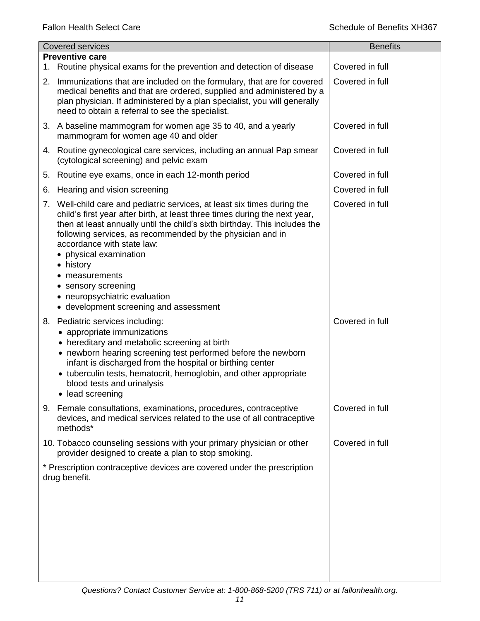| <b>Covered services</b> |                                                                                                                                                                                                                                                                                                                                                                                                                                                                                            | <b>Benefits</b> |
|-------------------------|--------------------------------------------------------------------------------------------------------------------------------------------------------------------------------------------------------------------------------------------------------------------------------------------------------------------------------------------------------------------------------------------------------------------------------------------------------------------------------------------|-----------------|
| 1.                      | <b>Preventive care</b><br>Routine physical exams for the prevention and detection of disease                                                                                                                                                                                                                                                                                                                                                                                               | Covered in full |
| 2.                      | Immunizations that are included on the formulary, that are for covered<br>medical benefits and that are ordered, supplied and administered by a<br>plan physician. If administered by a plan specialist, you will generally<br>need to obtain a referral to see the specialist.                                                                                                                                                                                                            | Covered in full |
|                         | 3. A baseline mammogram for women age 35 to 40, and a yearly<br>mammogram for women age 40 and older                                                                                                                                                                                                                                                                                                                                                                                       | Covered in full |
|                         | 4. Routine gynecological care services, including an annual Pap smear<br>(cytological screening) and pelvic exam                                                                                                                                                                                                                                                                                                                                                                           | Covered in full |
|                         | 5. Routine eye exams, once in each 12-month period                                                                                                                                                                                                                                                                                                                                                                                                                                         | Covered in full |
| 6.                      | Hearing and vision screening                                                                                                                                                                                                                                                                                                                                                                                                                                                               | Covered in full |
|                         | 7. Well-child care and pediatric services, at least six times during the<br>child's first year after birth, at least three times during the next year,<br>then at least annually until the child's sixth birthday. This includes the<br>following services, as recommended by the physician and in<br>accordance with state law:<br>physical examination<br>history<br>٠<br>measurements<br>• sensory screening<br>• neuropsychiatric evaluation<br>• development screening and assessment | Covered in full |
|                         | 8. Pediatric services including:<br>• appropriate immunizations<br>• hereditary and metabolic screening at birth<br>• newborn hearing screening test performed before the newborn<br>infant is discharged from the hospital or birthing center<br>• tuberculin tests, hematocrit, hemoglobin, and other appropriate<br>blood tests and urinalysis<br>• lead screening                                                                                                                      | Covered in full |
|                         | 9. Female consultations, examinations, procedures, contraceptive<br>devices, and medical services related to the use of all contraceptive<br>methods*                                                                                                                                                                                                                                                                                                                                      | Covered in full |
|                         | 10. Tobacco counseling sessions with your primary physician or other<br>provider designed to create a plan to stop smoking.                                                                                                                                                                                                                                                                                                                                                                | Covered in full |
|                         | * Prescription contraceptive devices are covered under the prescription<br>drug benefit.                                                                                                                                                                                                                                                                                                                                                                                                   |                 |
|                         |                                                                                                                                                                                                                                                                                                                                                                                                                                                                                            |                 |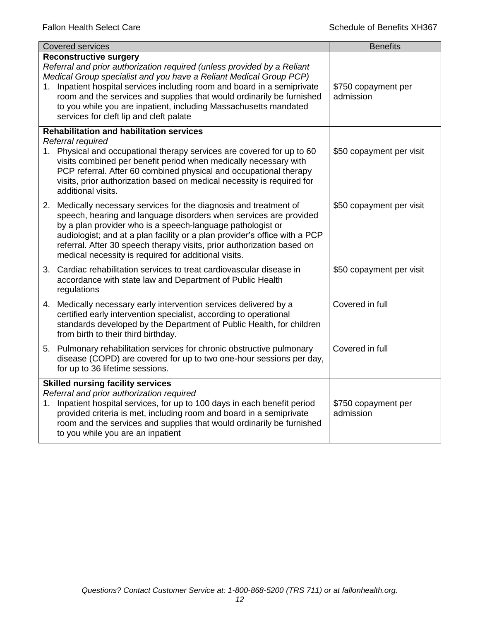| <b>Covered services</b>                                                                                                                                                                                                                                                                                                                                                                                               | <b>Benefits</b>                  |  |
|-----------------------------------------------------------------------------------------------------------------------------------------------------------------------------------------------------------------------------------------------------------------------------------------------------------------------------------------------------------------------------------------------------------------------|----------------------------------|--|
| <b>Reconstructive surgery</b>                                                                                                                                                                                                                                                                                                                                                                                         |                                  |  |
| Referral and prior authorization required (unless provided by a Reliant<br>Medical Group specialist and you have a Reliant Medical Group PCP)                                                                                                                                                                                                                                                                         |                                  |  |
| 1. Inpatient hospital services including room and board in a semiprivate                                                                                                                                                                                                                                                                                                                                              | \$750 copayment per              |  |
| room and the services and supplies that would ordinarily be furnished                                                                                                                                                                                                                                                                                                                                                 | admission                        |  |
| to you while you are inpatient, including Massachusetts mandated                                                                                                                                                                                                                                                                                                                                                      |                                  |  |
| services for cleft lip and cleft palate                                                                                                                                                                                                                                                                                                                                                                               |                                  |  |
| <b>Rehabilitation and habilitation services</b>                                                                                                                                                                                                                                                                                                                                                                       |                                  |  |
| Referral required                                                                                                                                                                                                                                                                                                                                                                                                     |                                  |  |
| 1. Physical and occupational therapy services are covered for up to 60<br>visits combined per benefit period when medically necessary with<br>PCP referral. After 60 combined physical and occupational therapy<br>visits, prior authorization based on medical necessity is required for<br>additional visits.                                                                                                       | \$50 copayment per visit         |  |
| 2. Medically necessary services for the diagnosis and treatment of<br>speech, hearing and language disorders when services are provided<br>by a plan provider who is a speech-language pathologist or<br>audiologist; and at a plan facility or a plan provider's office with a PCP<br>referral. After 30 speech therapy visits, prior authorization based on<br>medical necessity is required for additional visits. | \$50 copayment per visit         |  |
| 3. Cardiac rehabilitation services to treat cardiovascular disease in<br>accordance with state law and Department of Public Health<br>regulations                                                                                                                                                                                                                                                                     | \$50 copayment per visit         |  |
| 4. Medically necessary early intervention services delivered by a<br>certified early intervention specialist, according to operational<br>standards developed by the Department of Public Health, for children<br>from birth to their third birthday.                                                                                                                                                                 | Covered in full                  |  |
| 5. Pulmonary rehabilitation services for chronic obstructive pulmonary<br>disease (COPD) are covered for up to two one-hour sessions per day,<br>for up to 36 lifetime sessions.                                                                                                                                                                                                                                      | Covered in full                  |  |
| <b>Skilled nursing facility services</b>                                                                                                                                                                                                                                                                                                                                                                              |                                  |  |
| Referral and prior authorization required                                                                                                                                                                                                                                                                                                                                                                             |                                  |  |
| Inpatient hospital services, for up to 100 days in each benefit period<br>1.<br>provided criteria is met, including room and board in a semiprivate                                                                                                                                                                                                                                                                   | \$750 copayment per<br>admission |  |
| room and the services and supplies that would ordinarily be furnished                                                                                                                                                                                                                                                                                                                                                 |                                  |  |
| to you while you are an inpatient                                                                                                                                                                                                                                                                                                                                                                                     |                                  |  |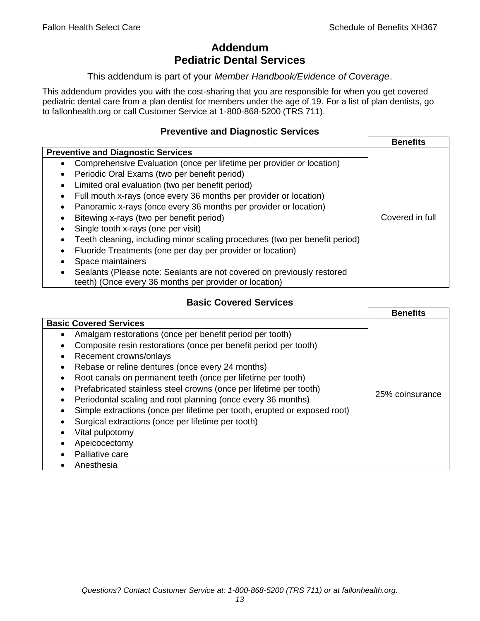# **Addendum Pediatric Dental Services**

#### This addendum is part of your *Member Handbook/Evidence of Coverage*.

This addendum provides you with the cost-sharing that you are responsible for when you get covered pediatric dental care from a plan dentist for members under the age of 19. For a list of plan dentists, go to fallonhealth.org or call Customer Service at 1-800-868-5200 (TRS 711).

#### **Preventive and Diagnostic Services**

|                                                                                    | <b>Benefits</b> |
|------------------------------------------------------------------------------------|-----------------|
| <b>Preventive and Diagnostic Services</b>                                          |                 |
| Comprehensive Evaluation (once per lifetime per provider or location)<br>$\bullet$ |                 |
| Periodic Oral Exams (two per benefit period)<br>٠                                  |                 |
| Limited oral evaluation (two per benefit period)<br>٠                              |                 |
| Full mouth x-rays (once every 36 months per provider or location)                  |                 |
| Panoramic x-rays (once every 36 months per provider or location)<br>٠              |                 |
| Bitewing x-rays (two per benefit period)                                           | Covered in full |
| Single tooth x-rays (one per visit)                                                |                 |
| Teeth cleaning, including minor scaling procedures (two per benefit period)        |                 |
| Fluoride Treatments (one per day per provider or location)                         |                 |
| Space maintainers                                                                  |                 |
| Sealants (Please note: Sealants are not covered on previously restored             |                 |
| teeth) (Once every 36 months per provider or location)                             |                 |

# **Basic Covered Services**

|                                                                           | <b>Benefits</b> |
|---------------------------------------------------------------------------|-----------------|
| <b>Basic Covered Services</b>                                             |                 |
| Amalgam restorations (once per benefit period per tooth)<br>$\bullet$     |                 |
| Composite resin restorations (once per benefit period per tooth)          |                 |
| Recement crowns/onlays<br>$\bullet$                                       |                 |
| Rebase or reline dentures (once every 24 months)                          |                 |
| Root canals on permanent teeth (once per lifetime per tooth)<br>$\bullet$ |                 |
| Prefabricated stainless steel crowns (once per lifetime per tooth)        |                 |
| Periodontal scaling and root planning (once every 36 months)<br>$\bullet$ | 25% coinsurance |
| Simple extractions (once per lifetime per tooth, erupted or exposed root) |                 |
| Surgical extractions (once per lifetime per tooth)                        |                 |
| Vital pulpotomy                                                           |                 |
| Apeicocectomy                                                             |                 |
| Palliative care                                                           |                 |
| Anesthesia                                                                |                 |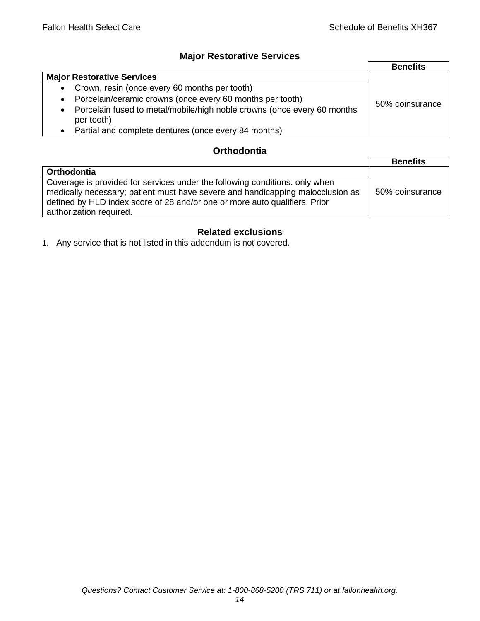## **Major Restorative Services**

|                                                                                         | <b>Benefits</b> |
|-----------------------------------------------------------------------------------------|-----------------|
| <b>Major Restorative Services</b>                                                       |                 |
| • Crown, resin (once every 60 months per tooth)                                         |                 |
| • Porcelain/ceramic crowns (once every 60 months per tooth)                             | 50% coinsurance |
| • Porcelain fused to metal/mobile/high noble crowns (once every 60 months<br>per tooth) |                 |
| Partial and complete dentures (once every 84 months)                                    |                 |

## **Orthodontia**

|                                                                                                                                                                                                                                                                        | <b>Benefits</b> |
|------------------------------------------------------------------------------------------------------------------------------------------------------------------------------------------------------------------------------------------------------------------------|-----------------|
| Orthodontia                                                                                                                                                                                                                                                            |                 |
| Coverage is provided for services under the following conditions: only when<br>medically necessary; patient must have severe and handicapping malocclusion as<br>defined by HLD index score of 28 and/or one or more auto qualifiers. Prior<br>authorization required. | 50% coinsurance |

# **Related exclusions**

1. Any service that is not listed in this addendum is not covered.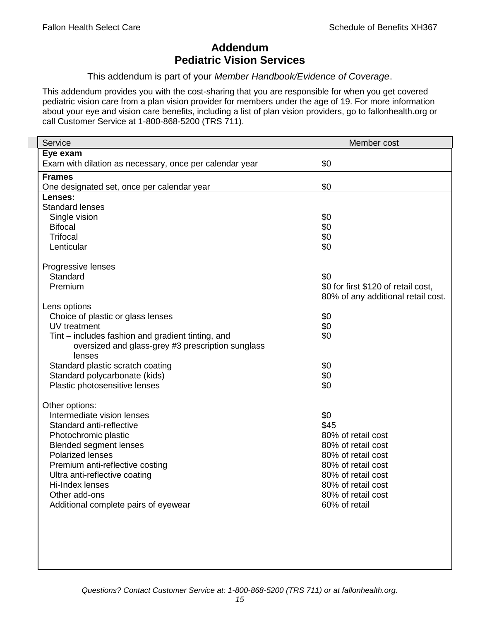# **Addendum Pediatric Vision Services**

This addendum is part of your *Member Handbook/Evidence of Coverage*.

This addendum provides you with the cost-sharing that you are responsible for when you get covered pediatric vision care from a plan vision provider for members under the age of 19. For more information about your eye and vision care benefits, including a list of plan vision providers, go to fallonhealth.org or call Customer Service at 1-800-868-5200 (TRS 711).

| Service                                                 | Member cost                         |
|---------------------------------------------------------|-------------------------------------|
| Eye exam                                                |                                     |
| Exam with dilation as necessary, once per calendar year | \$0                                 |
| <b>Frames</b>                                           |                                     |
| One designated set, once per calendar year              | \$0                                 |
| Lenses:                                                 |                                     |
| <b>Standard lenses</b>                                  |                                     |
| Single vision                                           | \$0                                 |
| <b>Bifocal</b>                                          | \$0                                 |
| <b>Trifocal</b>                                         | \$0                                 |
| Lenticular                                              | \$0                                 |
| Progressive lenses                                      |                                     |
| Standard                                                | \$0                                 |
| Premium                                                 | \$0 for first \$120 of retail cost, |
|                                                         | 80% of any additional retail cost.  |
| Lens options                                            |                                     |
| Choice of plastic or glass lenses                       | \$0                                 |
| UV treatment                                            | \$0                                 |
| Tint – includes fashion and gradient tinting, and       | \$0                                 |
| oversized and glass-grey #3 prescription sunglass       |                                     |
| lenses                                                  |                                     |
| Standard plastic scratch coating                        | \$0                                 |
| Standard polycarbonate (kids)                           | \$0                                 |
| Plastic photosensitive lenses                           | \$0                                 |
| Other options:                                          |                                     |
| Intermediate vision lenses                              | \$0                                 |
| Standard anti-reflective                                | \$45                                |
| Photochromic plastic                                    | 80% of retail cost                  |
| <b>Blended segment lenses</b>                           | 80% of retail cost                  |
| <b>Polarized lenses</b>                                 | 80% of retail cost                  |
| Premium anti-reflective costing                         | 80% of retail cost                  |
| Ultra anti-reflective coating                           | 80% of retail cost                  |
| Hi-Index lenses                                         | 80% of retail cost                  |
| Other add-ons                                           | 80% of retail cost                  |
| Additional complete pairs of eyewear                    | 60% of retail                       |
|                                                         |                                     |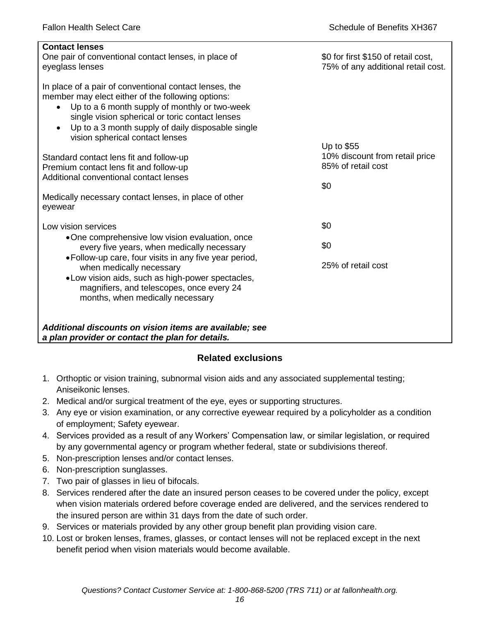| <b>Contact lenses</b><br>One pair of conventional contact lenses, in place of<br>eyeglass lenses                                                                                                                                                                                                                     | \$0 for first \$150 of retail cost,<br>75% of any additional retail cost. |
|----------------------------------------------------------------------------------------------------------------------------------------------------------------------------------------------------------------------------------------------------------------------------------------------------------------------|---------------------------------------------------------------------------|
| In place of a pair of conventional contact lenses, the<br>member may elect either of the following options:<br>Up to a 6 month supply of monthly or two-week<br>$\bullet$<br>single vision spherical or toric contact lenses<br>Up to a 3 month supply of daily disposable single<br>vision spherical contact lenses | Up to \$55                                                                |
| Standard contact lens fit and follow-up                                                                                                                                                                                                                                                                              | 10% discount from retail price                                            |
| Premium contact lens fit and follow-up<br>Additional conventional contact lenses                                                                                                                                                                                                                                     | 85% of retail cost                                                        |
|                                                                                                                                                                                                                                                                                                                      | \$0                                                                       |
| Medically necessary contact lenses, in place of other<br>eyewear                                                                                                                                                                                                                                                     |                                                                           |
| Low vision services                                                                                                                                                                                                                                                                                                  | \$0                                                                       |
| •One comprehensive low vision evaluation, once<br>every five years, when medically necessary                                                                                                                                                                                                                         | \$0                                                                       |
| • Follow-up care, four visits in any five year period,<br>when medically necessary<br>. Low vision aids, such as high-power spectacles,<br>magnifiers, and telescopes, once every 24<br>months, when medically necessary                                                                                             | 25% of retail cost                                                        |
| Additional discounts on vision items are available; see<br>a plan provider or contact the plan for details.                                                                                                                                                                                                          |                                                                           |

# **Related exclusions**

- 1. Orthoptic or vision training, subnormal vision aids and any associated supplemental testing; Aniseikonic lenses.
- 2. Medical and/or surgical treatment of the eye, eyes or supporting structures.
- 3. Any eye or vision examination, or any corrective eyewear required by a policyholder as a condition of employment; Safety eyewear.
- 4. Services provided as a result of any Workers' Compensation law, or similar legislation, or required by any governmental agency or program whether federal, state or subdivisions thereof.
- 5. Non-prescription lenses and/or contact lenses.
- 6. Non-prescription sunglasses.
- 7. Two pair of glasses in lieu of bifocals.
- 8. Services rendered after the date an insured person ceases to be covered under the policy, except when vision materials ordered before coverage ended are delivered, and the services rendered to the insured person are within 31 days from the date of such order.
- 9. Services or materials provided by any other group benefit plan providing vision care.
- 10. Lost or broken lenses, frames, glasses, or contact lenses will not be replaced except in the next benefit period when vision materials would become available.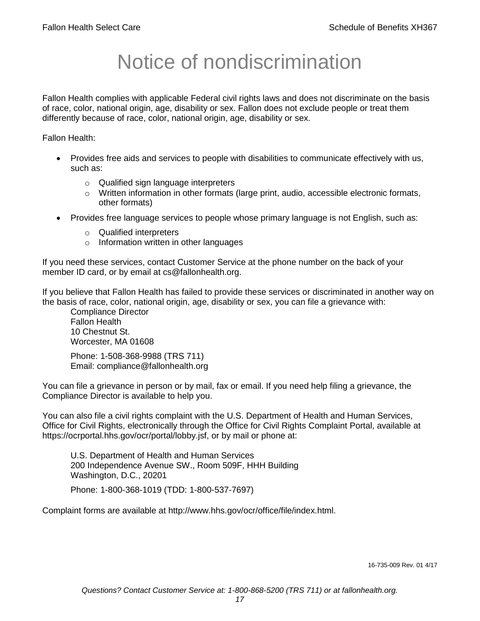# Notice of nondiscrimination

Fallon Health complies with applicable Federal civil rights laws and does not discriminate on the basis of race, color, national origin, age, disability or sex. Fallon does not exclude people or treat them differently because of race, color, national origin, age, disability or sex.

Fallon Health:

- Provides free aids and services to people with disabilities to communicate effectively with us, such as:
	- o Qualified sign language interpreters
	- $\circ$  Written information in other formats (large print, audio, accessible electronic formats, other formats)
- Provides free language services to people whose primary language is not English, such as:
	- o Qualified interpreters
	- o Information written in other languages

If you need these services, contact Customer Service at the phone number on the back of your member ID card, or by email at cs@fallonhealth.org.

If you believe that Fallon Health has failed to provide these services or discriminated in another way on the basis of race, color, national origin, age, disability or sex, you can file a grievance with:

Compliance Director Fallon Health 10 Chestnut St. Worcester, MA 01608

Phone: 1-508-368-9988 (TRS 711) Email: compliance@fallonhealth.org

You can file a grievance in person or by mail, fax or email. If you need help filing a grievance, the Compliance Director is available to help you.

You can also file a civil rights complaint with the U.S. Department of Health and Human Services, Office for Civil Rights, electronically through the Office for Civil Rights Complaint Portal, available at https://ocrportal.hhs.gov/ocr/portal/lobby.jsf, or by mail or phone at:

U.S. Department of Health and Human Services 200 Independence Avenue SW., Room 509F, HHH Building Washington, D.C., 20201

Phone: 1-800-368-1019 (TDD: 1-800-537-7697)

Complaint forms are available at http://www.hhs.gov/ocr/office/file/index.html.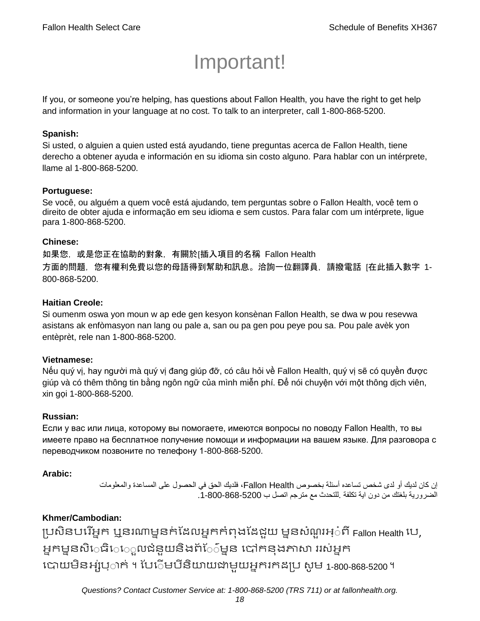# Important!

If you, or someone you're helping, has questions about Fallon Health, you have the right to get help and information in your language at no cost. To talk to an interpreter, call 1-800-868-5200.

#### **Spanish:**

Si usted, o alguien a quien usted está ayudando, tiene preguntas acerca de Fallon Health, tiene derecho a obtener ayuda e información en su idioma sin costo alguno. Para hablar con un intérprete, llame al 1-800-868-5200.

#### **Portuguese:**

Se você, ou alguém a quem você está ajudando, tem perguntas sobre o Fallon Health, você tem o direito de obter ajuda e informação em seu idioma e sem custos. Para falar com um intérprete, ligue para 1-800-868-5200.

#### **Chinese:**

如果您,或是您正在協助的對象,有關於[插入項目的名稱 Fallon Health 方面的問題,您有權利免費以您的母語得到幫助和訊息。洽詢一位翻譯員,請撥電話 [在此插入數字 1- 800-868-5200.

#### **Haitian Creole:**

Si oumenm oswa yon moun w ap ede gen kesyon konsènan Fallon Health, se dwa w pou resevwa asistans ak enfòmasyon nan lang ou pale a, san ou pa gen pou peye pou sa. Pou pale avèk yon entèprèt, rele nan 1-800-868-5200.

#### **Vietnamese:**

Nếu quý vị, hay người mà quý vị đang giúp đỡ, có câu hỏi về Fallon Health, quý vị sẽ có quyền được giúp và có thêm thông tin bằng ngôn ngữ của mình miễn phí. Để nói chuyện với một thông dịch viên, xin gọi 1-800-868-5200.

#### **Russian:**

Если у вас или лица, которому вы помогаете, имеются вопросы по поводу Fallon Health, то вы имеете право на бесплатное получение помощи и информации на вашем языке. Для разговора с переводчиком позвоните по телефону 1-800-868-5200.

#### **Arabic:**

إن كان لديك أو لدى شخص تساعده أسئلة بخصوص Health Fallon، فلديك الحق في الحصول على المساعدة والمعلومات الضرورية بلغتك من دون اية تكلفة .للتحدث مع مترجم اتصل ب .1-800-868-5200

## **Khmer/Cambodian:**

ប្រសិនបរើអ្នក ឬនរណាម្ននក់ដែលអ្នកកំពុងដែជួយ ម្ននសំណួរអ្៎ពី Fallon Health បេ, អ្នកម្ននសិេធិេេ្លលជំនួយនិងព័ែ៌ម្នន បៅកនុងភាសា ររស់អ្នក រោយម្ិនអ្ស់រ្ំ ក់ ។ ដររំម្ រនី ិយាយជាម្ួយអ្នក កែប្រ សូ ម្ 1-800-868-5200 ។

*Questions? Contact Customer Service at: 1-800-868-5200 (TRS 711) or at fallonhealth.org.*